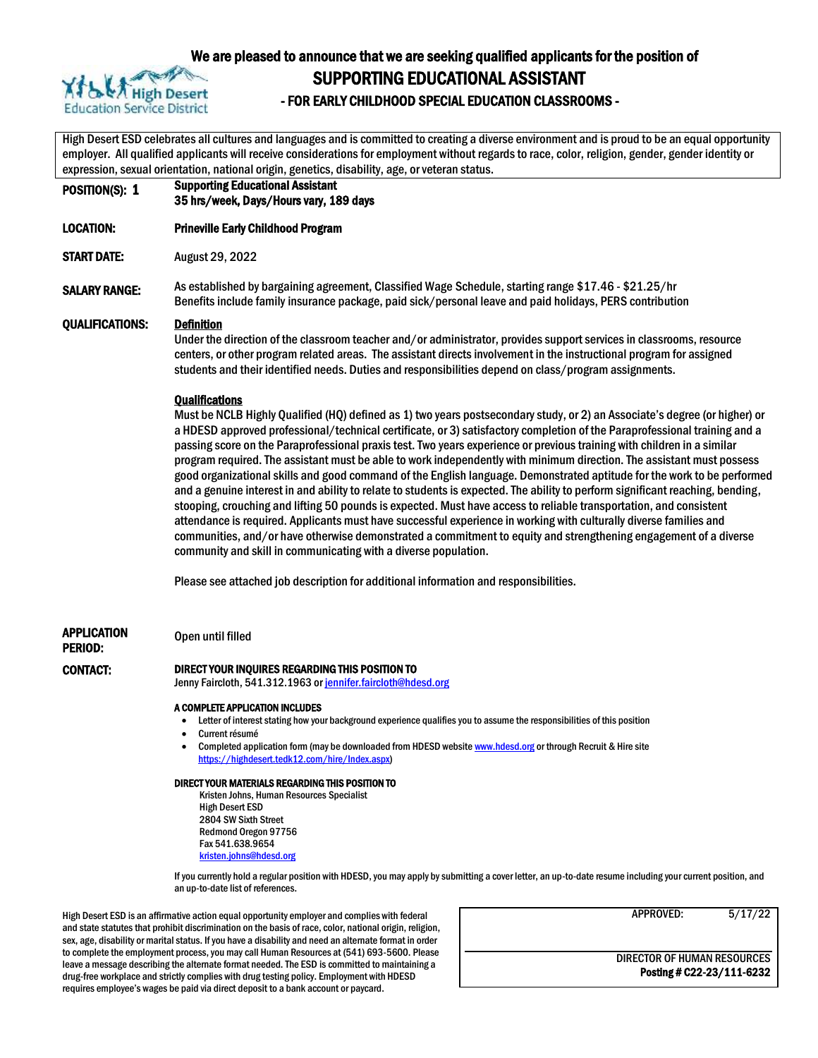

#### We are pleased to announce that we are seeking qualified applicants for the position of

SUPPORTING EDUCATIONAL ASSISTANT

# AT A PA High Desert<br>Education Service District **FOR EARLY CHILDHOOD SPECIAL EDUCATION CLASSROOMS**

High Desert ESD celebrates all cultures and languages and is committed to creating a diverse environment and is proud to be an equal opportunity employer. All qualified applicants will receive considerations for employment without regards to race, color, religion, gender, gender identity or expression, sexual orientation, national origin, genetics, disability, age, or veteran status.

POSITION(S): 1 Supporting Educational Assistant 35 hrs/week, Days/Hours vary, 189 days LOCATION: Prineville Early Childhood Program START DATE: August 29, 2022 SALARY RANGE: As established by bargaining agreement, Classified Wage Schedule, starting range \$17.46 - \$21.25/hr Benefits include family insurance package, paid sick/personal leave and paid holidays, PERS contribution QUALIFICATIONS: Definition Under the direction of the classroom teacher and/or administrator, provides support services in classrooms, resource centers, or other program related areas. The assistant directs involvement in the instructional program for assigned students and their identified needs. Duties and responsibilities depend on class/program assignments. **Qualifications** Must be NCLB Highly Qualified (HQ) defined as 1) two years postsecondary study, or 2) an Associate's degree (or higher) or a HDESD approved professional/technical certificate, or 3) satisfactory completion of the Paraprofessional training and a passing score on the Paraprofessional praxis test. Two years experience or previous training with children in a similar program required. The assistant must be able to work independently with minimum direction. The assistant must possess good organizational skills and good command of the English language. Demonstrated aptitude for the work to be performed and a genuine interest in and ability to relate to students is expected. The ability to perform significant reaching, bending, stooping, crouching and lifting 50 pounds is expected. Must have access to reliable transportation, and consistent attendance is required. Applicants must have successful experience in working with culturally diverse families and communities, and/or have otherwise demonstrated a commitment to equity and strengthening engagement of a diverse community and skill in communicating with a diverse population. Please see attached job description for additional information and responsibilities. APPLICATION PERIOD: Open until filled CONTACT: DIRECT YOUR INQUIRES REGARDING THIS POSITION TO Jenny Faircloth, 541.312.1963 or jennifer.faircloth@hdesd.org A COMPLETE APPLICATION INCLUDES Letter of interest stating how your background experience qualifies you to assume the responsibilities of this position Current résumé Completed application form (may be downloaded from HDESD websit[e www.hdesd.org](http://www.hdesd.org/) or through Recruit & Hire site [https://highdesert.tedk12.com/hire/Index.aspx\)](https://highdesert.tedk12.com/hire/Index.aspx)

#### DIRECT YOUR MATERIALS REGARDING THIS POSITION TO

Kristen Johns, Human Resources Specialist High Desert ESD 2804 SW Sixth Street Redmond Oregon 97756 Fax 541.638.9654 [kristen.johns@hdesd.org](mailto:kristen.johns@hdesd.org)

If you currently hold a regular position with HDESD, you may apply by submitting a cover letter, an up-to-date resume including your current position, and an up-to-date list of references.

High Desert ESD is an affirmative action equal opportunity employer and complies with federal and state statutes that prohibit discrimination on the basis of race, color, national origin, religion, sex, age, disability or marital status. If you have a disability and need an alternate format in order to complete the employment process, you may call Human Resources at (541) 693-5600. Please leave a message describing the alternate format needed. The ESD is committed to maintaining a drug-free workplace and strictly complies with drug testing policy. Employment with HDESD requires employee's wages be paid via direct deposit to a bank account or paycard.

APPROVED: 5/17/22

DIRECTOR OF HUMAN RESOURCES Posting # C22-23/111-6232